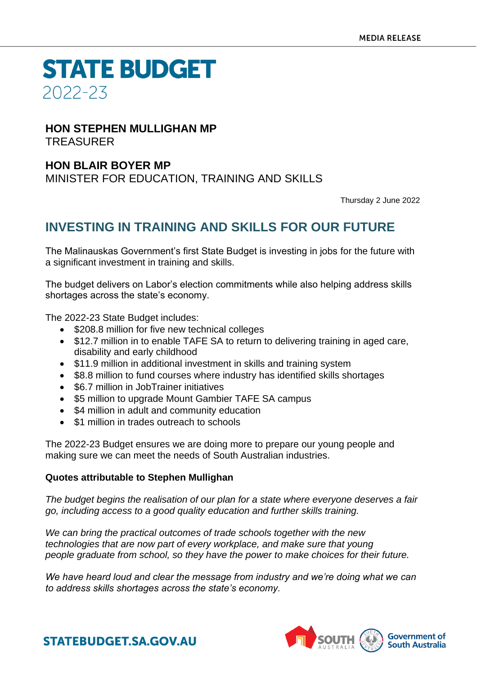**STATE BUDGET** 2022-23

#### **HON STEPHEN MULLIGHAN MP** TREASURER

### **HON BLAIR BOYER MP**

MINISTER FOR EDUCATION, TRAINING AND SKILLS

Thursday 2 June 2022

## **INVESTING IN TRAINING AND SKILLS FOR OUR FUTURE**

The Malinauskas Government's first State Budget is investing in jobs for the future with a significant investment in training and skills.

The budget delivers on Labor's election commitments while also helping address skills shortages across the state's economy.

The 2022-23 State Budget includes:

- \$208.8 million for five new technical colleges
- \$12.7 million in to enable TAFE SA to return to delivering training in aged care, disability and early childhood
- \$11.9 million in additional investment in skills and training system
- \$8.8 million to fund courses where industry has identified skills shortages
- \$6.7 million in JobTrainer initiatives
- \$5 million to upgrade Mount Gambier TAFE SA campus
- \$4 million in adult and community education
- \$1 million in trades outreach to schools

The 2022-23 Budget ensures we are doing more to prepare our young people and making sure we can meet the needs of South Australian industries.

#### **Quotes attributable to Stephen Mullighan**

*The budget begins the realisation of our plan for a state where everyone deserves a fair go, including access to a good quality education and further skills training.* 

*We can bring the practical outcomes of trade schools together with the new technologies that are now part of every workplace, and make sure that young people graduate from school, so they have the power to make choices for their future.*

*We have heard loud and clear the message from industry and we're doing what we can to address skills shortages across the state's economy.*



**STATEBUDGET.SA.GOV.AU**